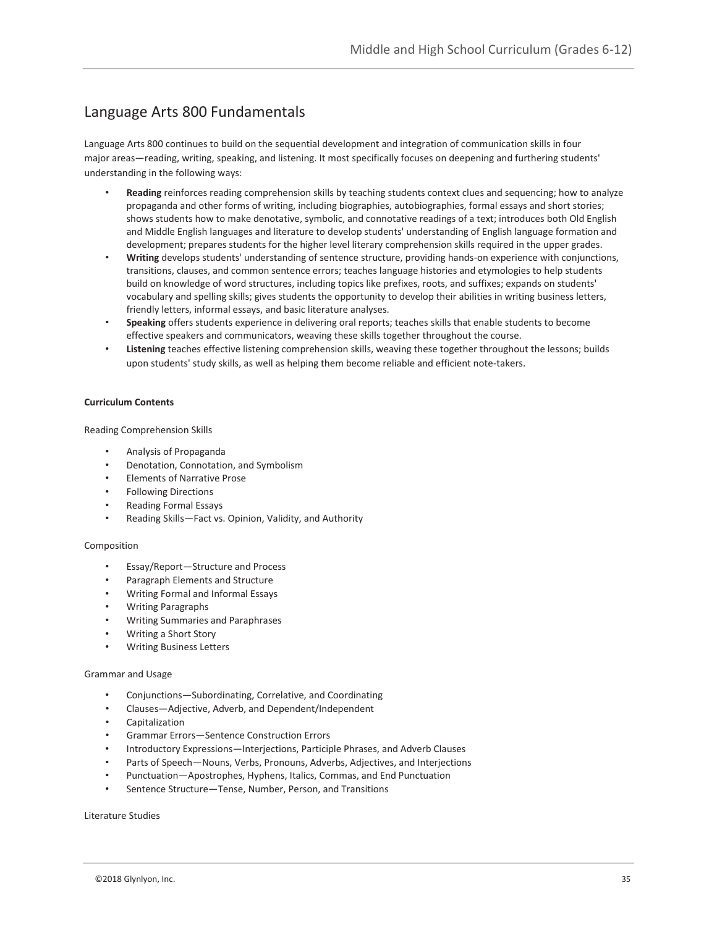## Language Arts 800 Fundamentals

Language Arts 800 continues to build on the sequential development and integration of communication skills in four major areas—reading, writing, speaking, and listening. It most specifically focuses on deepening and furthering students' understanding in the following ways:

- **Reading** reinforces reading comprehension skills by teaching students context clues and sequencing; how to analyze propaganda and other forms of writing, including biographies, autobiographies, formal essays and short stories; shows students how to make denotative, symbolic, and connotative readings of a text; introduces both Old English and Middle English languages and literature to develop students' understanding of English language formation and development; prepares students for the higher level literary comprehension skills required in the upper grades.
- **Writing** develops students' understanding of sentence structure, providing hands-on experience with conjunctions, transitions, clauses, and common sentence errors; teaches language histories and etymologies to help students build on knowledge of word structures, including topics like prefixes, roots, and suffixes; expands on students' vocabulary and spelling skills; gives students the opportunity to develop their abilities in writing business letters, friendly letters, informal essays, and basic literature analyses.
- **Speaking** offers students experience in delivering oral reports; teaches skills that enable students to become effective speakers and communicators, weaving these skills together throughout the course.
- **Listening** teaches effective listening comprehension skills, weaving these together throughout the lessons; builds upon students' study skills, as well as helping them become reliable and efficient note-takers.

#### **Curriculum Contents**

Reading Comprehension Skills

- Analysis of Propaganda
- Denotation, Connotation, and Symbolism
- Elements of Narrative Prose
- Following Directions
- Reading Formal Essays
- Reading Skills—Fact vs. Opinion, Validity, and Authority

#### Composition

- Essay/Report—Structure and Process
- Paragraph Elements and Structure
- Writing Formal and Informal Essays
- Writing Paragraphs
- Writing Summaries and Paraphrases
- Writing a Short Story
- Writing Business Letters

#### Grammar and Usage

- Conjunctions—Subordinating, Correlative, and Coordinating
- Clauses—Adjective, Adverb, and Dependent/Independent
- Capitalization
- Grammar Errors—Sentence Construction Errors
- Introductory Expressions—Interjections, Participle Phrases, and Adverb Clauses
- Parts of Speech—Nouns, Verbs, Pronouns, Adverbs, Adjectives, and Interjections
- Punctuation—Apostrophes, Hyphens, Italics, Commas, and End Punctuation
- Sentence Structure—Tense, Number, Person, and Transitions

Literature Studies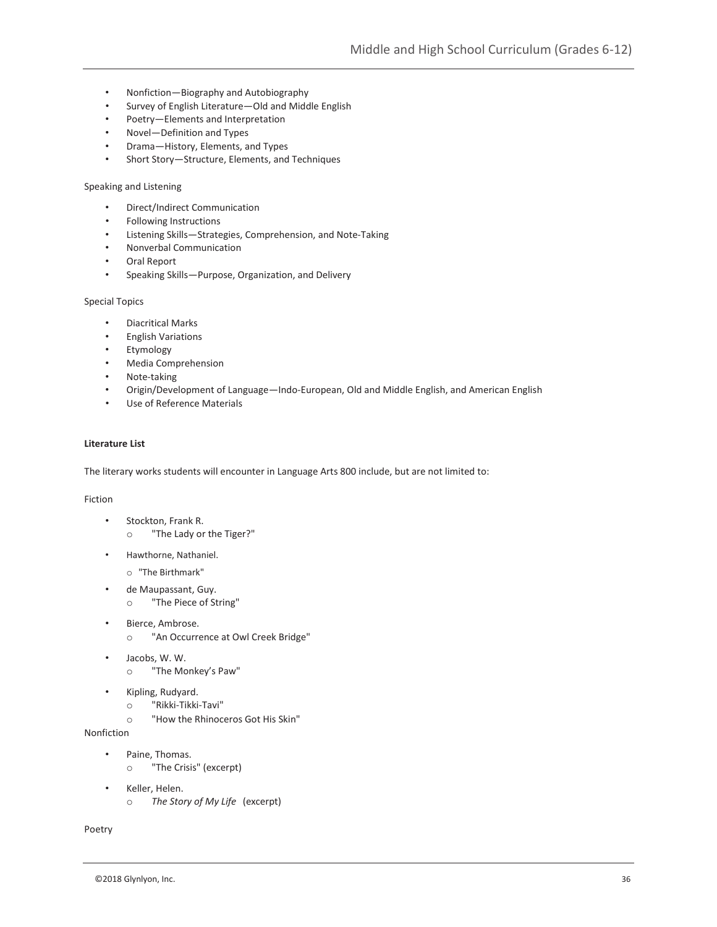- Nonfiction—Biography and Autobiography
- Survey of English Literature—Old and Middle English
- Poetry—Elements and Interpretation
- Novel—Definition and Types
- Drama—History, Elements, and Types
- Short Story—Structure, Elements, and Techniques

#### Speaking and Listening

- Direct/Indirect Communication
- Following Instructions
- Listening Skills—Strategies, Comprehension, and Note-Taking
- Nonverbal Communication
- Oral Report
- Speaking Skills—Purpose, Organization, and Delivery

#### Special Topics

- Diacritical Marks
- English Variations
- Etymology
- Media Comprehension
- Note-taking
- Origin/Development of Language—Indo-European, Old and Middle English, and American English
- Use of Reference Materials

#### **Literature List**

The literary works students will encounter in Language Arts 800 include, but are not limited to:

#### Fiction

- Stockton, Frank R. o "The Lady or the Tiger?"
- Hawthorne, Nathaniel.
	- o "The Birthmark"
- de Maupassant, Guy.
	- o "The Piece of String"
- Bierce, Ambrose. o "An Occurrence at Owl Creek Bridge"
- Jacobs, W. W. o "The Monkey's Paw"
- Kipling, Rudyard.
	- o "Rikki-Tikki-Tavi"
	- o "How the Rhinoceros Got His Skin"

#### Nonfiction

- Paine, Thomas.
	- o "The Crisis" (excerpt)
- Keller, Helen. o *The Story of My Life* (excerpt)

Poetry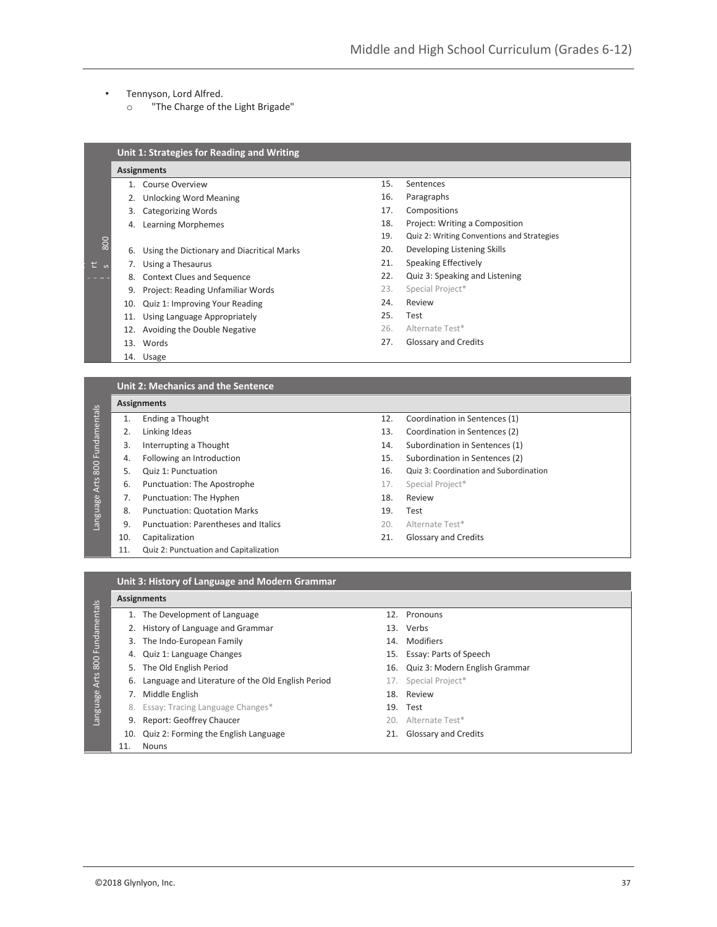- Tennyson, Lord Alfred.
	- o "The Charge of the Light Brigade"

|                | <b>Assignments</b>                               |     |                                            |
|----------------|--------------------------------------------------|-----|--------------------------------------------|
|                | <b>Course Overview</b><br>1.                     | 15. | Sentences                                  |
|                | <b>Unlocking Word Meaning</b><br>2.              | 16. | Paragraphs                                 |
|                | <b>Categorizing Words</b><br>3.                  | 17. | Compositions                               |
|                | <b>Learning Morphemes</b><br>4.                  | 18. | Project: Writing a Composition             |
|                |                                                  | 19. | Quiz 2: Writing Conventions and Strategies |
| 800            | Using the Dictionary and Diacritical Marks<br>6. | 20. | Developing Listening Skills                |
| $t\bar{u}$     | Using a Thesaurus<br>7.                          | 21. | <b>Speaking Effectively</b>                |
| <b>3 6 6 6</b> | <b>Context Clues and Sequence</b><br>8.          | 22. | Quiz 3: Speaking and Listening             |
|                | Project: Reading Unfamiliar Words<br>9.          | 23. | Special Project*                           |
| 10.            | Quiz 1: Improving Your Reading                   | 24. | Review                                     |
| 11.            | Using Language Appropriately                     | 25. | Test                                       |
| 12.            | Avoiding the Double Negative                     | 26. | Alternate Test*                            |
| 13.            | Words                                            | 27. | Glossary and Credits                       |
|                | 14. Usage                                        |     |                                            |

## **Assignments**

| Ending a Thought |
|------------------|
| Linking Ideas    |

- 3. Interrupting a Thought
- 4. Following an Introduction
- 5. Quiz 1: Punctuation
- 6. Punctuation: The Apostrophe
- 7. Punctuation: The Hyphen
- Language Arts 800 Fundamentals 8. Punctuation: Quotation Marks
	- 9. Punctuation: Parentheses and Italics
	- 10. Capitalization
	- 11. Quiz 2: Punctuation and Capitalization
- 12. Coordination in Sentences (1)
- 13. Coordination in Sentences (2)
- 14. Subordination in Sentences (1)
- 15. Subordination in Sentences (2)
- 16. Quiz 3: Coordination and Subordination
- 17. Special Project\*
- 18. Review
- 19. Test
- 20. Alternate Test\*
- 21. Glossary and Credits

#### **Unit 3: History of Language and Modern Grammar**

#### **Assignments**

Language Arts 800 Fundamentals

Language Arts 800 Fundamentals

anguage Arts 800 Fundamentals

- 1. The Development of Language 12. Pronouns
- 2. History of Language and Grammar 13. Verbs
- 3. The Indo-European Family 14. Modifiers
- 4. Quiz 1: Language Changes 15. Essay: Parts of Speech
	-
- 6. Language and Literature of the Old English Period 17. Special Project\*
- 7. Middle English 18. Review
- 8. Essay: Tracing Language Changes\* 19. Test
- 9. Report: Geoffrey Chaucer 20. Alternate Test\*
- 10. Quiz 2: Forming the English Language 21. Glossary and Credits
- 11. Nouns
- 
- 
- 
- 
- 5. The Old English Period 16. Quiz 3: Modern English Grammar
	-
	-
	-
	-
	-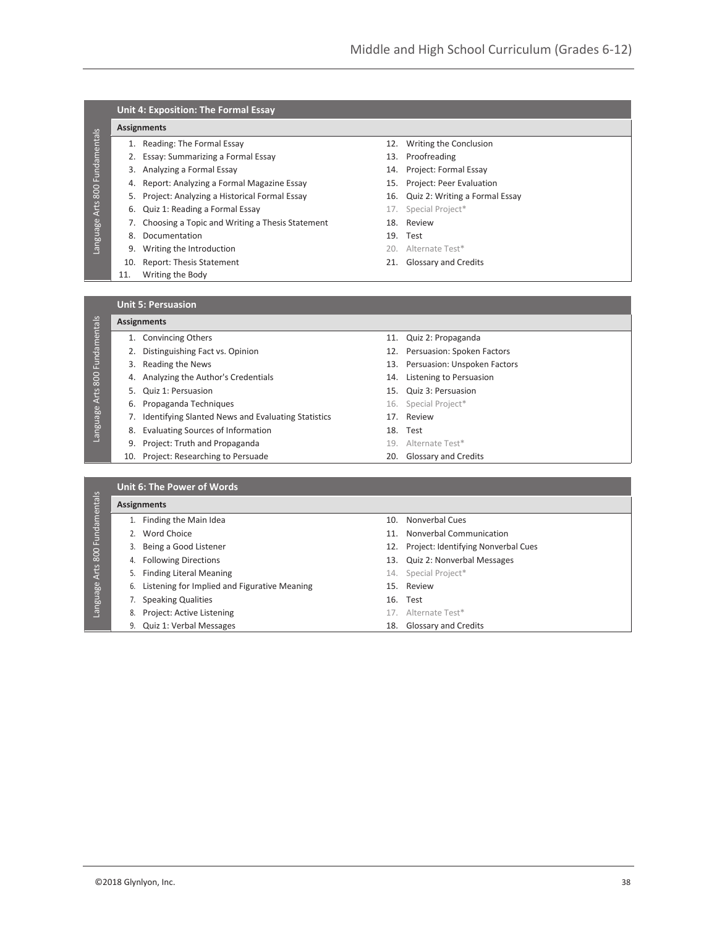|  | Unit 4: Exposition: The Formal Essay |  |  |
|--|--------------------------------------|--|--|
|--|--------------------------------------|--|--|

#### **Assignments**

Language Arts 800 Fundamentals

Language Arts 800 Fundamentals

Language Arts 800 Fundamentals

Language Arts 800 Fundamentals

- 1. Reading: The Formal Essay 12. Writing the Conclusion
- 2. Essay: Summarizing a Formal Essay 13. Proofreading
- 3. Analyzing a Formal Essay 14. Project: Formal Essay
- 4. Report: Analyzing a Formal Magazine Essay 15. Project: Peer Evaluation
- 
- 6. Quiz 1: Reading a Formal Essay 17. Special Project\*
- 7. Choosing a Topic and Writing a Thesis Statement 18. Review
- 8. Documentation 19. Test
- 9. Writing the Introduction **20. Alternate Test\***
- 10. Report: Thesis Statement 21. Glossary and Credits
- 11. Writing the Body
- 
- 
- 
- 
- 5. Project: Analyzing a Historical Formal Essay 16. Quiz 2: Writing a Formal Essay
	-
	-
	- -
	-

**Unit 5: Persuasion**

### **Assignments**

- 1. Convincing Others **11. Convincing Others** 11. Quiz 2: Propaganda
- 2. Distinguishing Fact vs. Opinion 12. Persuasion: Spoken Factors
	-
- 4. Analyzing the Author's Credentials 14. Listening to Persuasion
- 5. Quiz 1: Persuasion 15. Quiz 3: Persuasion
- 6. Propaganda Techniques **16. Special Project\***
- 7. Identifying Slanted News and Evaluating Statistics 17. Review
	- 8. Evaluating Sources of Information 18. Test
	- 9. Project: Truth and Propaganda 19. Alternate Test\*
	- 10. Project: Researching to Persuade 20. Glossary and Credits
- 
- 
- 3. Reading the News 13. Persuasion: Unspoken Factors
	-
	-
	-
	-
	-
	-
	-

| <b>Assignments</b>                                 |  |                                         |  |  |  |
|----------------------------------------------------|--|-----------------------------------------|--|--|--|
| Finding the Main Idea                              |  | 10. Nonverbal Cues                      |  |  |  |
| Word Choice                                        |  | 11. Nonverbal Communication             |  |  |  |
| Being a Good Listener<br>3.                        |  | 12. Project: Identifying Nonverbal Cues |  |  |  |
| <b>Following Directions</b><br>4.                  |  | 13. Quiz 2: Nonverbal Messages          |  |  |  |
| <b>Finding Literal Meaning</b><br>5.               |  | 14. Special Project*                    |  |  |  |
| Listening for Implied and Figurative Meaning<br>6. |  | 15. Review                              |  |  |  |
| <b>Speaking Qualities</b>                          |  | 16. Test                                |  |  |  |
| Project: Active Listening<br>8.                    |  | 17. Alternate Test*                     |  |  |  |
| Quiz 1: Verbal Messages<br>9.                      |  | 18. Glossary and Credits                |  |  |  |